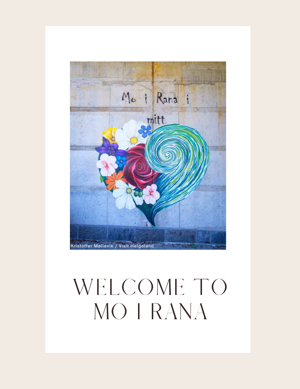

## WELCOME TO MO I RANA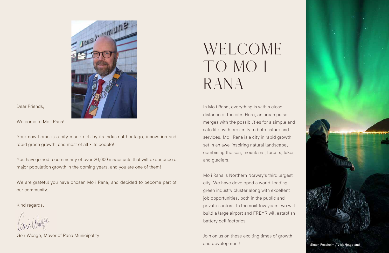

Dear Friends,

Welcome to Mo i Rana!

Your new home is a city made rich by its industrial heritage, innovation and rapid green growth, and most of all - its people!

You have joined a community of over 26,000 inhabitants that will experience a major population growth in the coming years, and you are one of them!

We are grateful you have chosen Mo i Rana, and decided to become part of our community.

Kind regards,

Geir Waage, Mayor of Rana Municipality

# WELCOME TO MO I RANA

Join on us on these exciting times of growth and development! Simon Fossheim / Visit Helgeland



In Mo i Rana, everything is within close distance of the city. Here, an urban pulse merges with the possibilities for a simple and safe life, with proximity to both nature and services. Mo i Rana is a city in rapid growth, set in an awe-inspiring natural landscape, combining the sea, mountains, forests, lakes and glaciers.

Mo i Rana is Northern Norway's third largest city. We have developed a world-leading green industry cluster along with excellent job opportunities, both in the public and private sectors. In the next few years, we will build a large airport and FREYR will establish battery cell factories.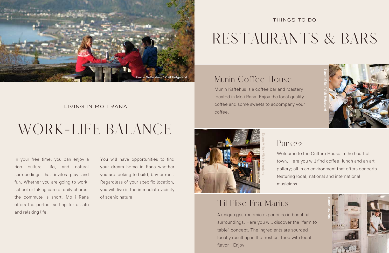# WORK-LIFE BALANCE

### LIVING IN MO I RANA

In your free time, you can enjoy a rich cultural life, and natural surroundings that invites play and fun. Whether you are going to work, school or taking care of daily chores, the commute is short. Mo i Rana offers the perfect setting for a safe and relaxing life.

You will have opportunities to find your dream home in Rana whether you are looking to build, buy or rent. Regardless of your specific location, you will live in the immediate vicinity of scenic nature.



# RESTAURANTS & BARS

### THINGS TO DO

### Munin Coffee House

Munin Kaffehus is a coffee bar and roastery located in Mo i Rana. Enjoy the local quality coffee and some sweets to accompany your coffee.

## Park22

Welcome to the Culture House in the heart of town. Here you will find coffee, lunch and an art gallery; all in an environment that offers concerts featuring local, national and international

musicians.

### Til Elise Fra Marius

A unique gastronomic experience in beautiful surroundings. Here you will discover the "farm to table" concept. The ingredients are sourced locally resulting in the freshest food with local flavor - Enjoy!



en

Mills Visit H elg eland



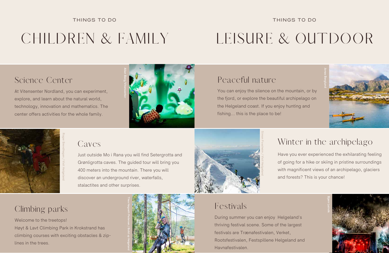## CHILDREN & FAMILY

### Science Center

At Vitensenter Nordland, you can experiment, explore, and learn about the natural world, technology, innovation and mathematics. The center offers activities for the whole family.

### Caves

Just outside Mo i Rana you will find Setergrotta and Grønligrotta caves. The guided tour will bring you 400 meters into the mountain. There you will discover an underground river, waterfalls, stalactites and other surprises.

## Climbing parks

Welcome to the treetops! Høyt & Lavt Climbing Park in Krokstrand has climbing courses with exciting obstacles & ziplines in the trees.



### THINGS TO DO





Thea Høgseth Pedersen / Build up Helgeland



# LEISURE & OUTDOOR

## Peaceful nature

You can enjoy the silence on the mountain, or by the fjord, or explore the beautiful archipelago on the Helgeland coast. If you enjoy hunting and fishing... this is the place to be!

## Winter in the archipelago

Have you ever experienced the exhilarating feeling of going for a hike or skiing in pristine surroundings with magnificent views of an archipelago, glaciers and forests? This is your chance!

### Festivals

During summer you can enjoy Helgeland's thriving festival scene. Some of the largest festivals are Trænafestivalen, Verket, Rootsfestivalen, Festspillene Helgeland and Havnafestivalen.

### THINGS TO DO



Simon Fossheim / Visit Helgeland

![](_page_3_Picture_24.jpeg)